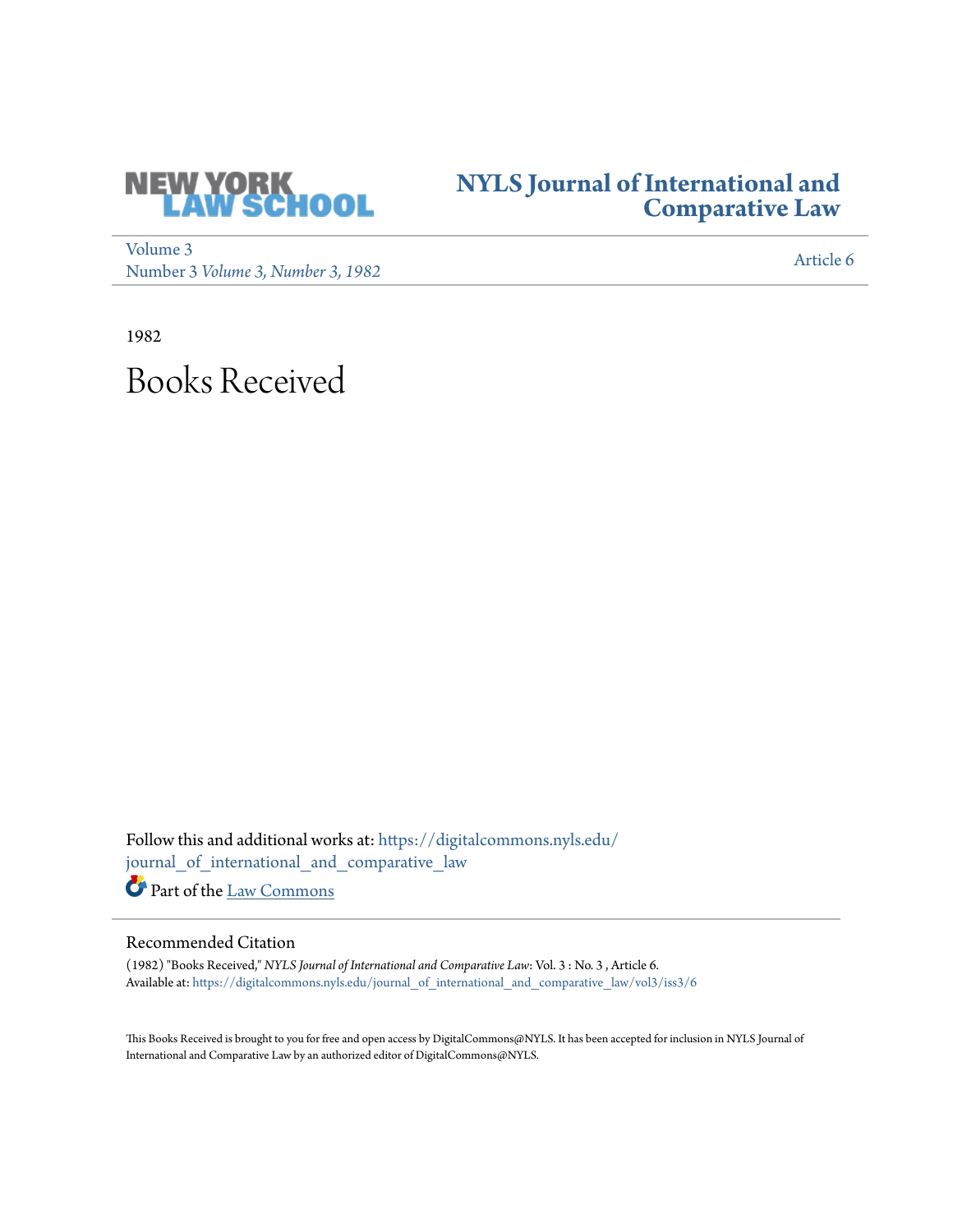

## **[NYLS Journal of International and](https://digitalcommons.nyls.edu/journal_of_international_and_comparative_law?utm_source=digitalcommons.nyls.edu%2Fjournal_of_international_and_comparative_law%2Fvol3%2Fiss3%2F6&utm_medium=PDF&utm_campaign=PDFCoverPages) [Comparative Law](https://digitalcommons.nyls.edu/journal_of_international_and_comparative_law?utm_source=digitalcommons.nyls.edu%2Fjournal_of_international_and_comparative_law%2Fvol3%2Fiss3%2F6&utm_medium=PDF&utm_campaign=PDFCoverPages)**

[Volume 3](https://digitalcommons.nyls.edu/journal_of_international_and_comparative_law/vol3?utm_source=digitalcommons.nyls.edu%2Fjournal_of_international_and_comparative_law%2Fvol3%2Fiss3%2F6&utm_medium=PDF&utm_campaign=PDFCoverPages) volume 3<br>Number 3 *[Volume 3, Number 3, 1982](https://digitalcommons.nyls.edu/journal_of_international_and_comparative_law/vol3/iss3?utm_source=digitalcommons.nyls.edu%2Fjournal_of_international_and_comparative_law%2Fvol3%2Fiss3%2F6&utm_medium=PDF&utm_campaign=PDFCoverPages)* [Article 6](https://digitalcommons.nyls.edu/journal_of_international_and_comparative_law/vol3/iss3/6?utm_source=digitalcommons.nyls.edu%2Fjournal_of_international_and_comparative_law%2Fvol3%2Fiss3%2F6&utm_medium=PDF&utm_campaign=PDFCoverPages)

1982

## Books Received

Follow this and additional works at: [https://digitalcommons.nyls.edu/](https://digitalcommons.nyls.edu/journal_of_international_and_comparative_law?utm_source=digitalcommons.nyls.edu%2Fjournal_of_international_and_comparative_law%2Fvol3%2Fiss3%2F6&utm_medium=PDF&utm_campaign=PDFCoverPages) [journal\\_of\\_international\\_and\\_comparative\\_law](https://digitalcommons.nyls.edu/journal_of_international_and_comparative_law?utm_source=digitalcommons.nyls.edu%2Fjournal_of_international_and_comparative_law%2Fvol3%2Fiss3%2F6&utm_medium=PDF&utm_campaign=PDFCoverPages) Part of the [Law Commons](http://network.bepress.com/hgg/discipline/578?utm_source=digitalcommons.nyls.edu%2Fjournal_of_international_and_comparative_law%2Fvol3%2Fiss3%2F6&utm_medium=PDF&utm_campaign=PDFCoverPages)

## Recommended Citation

(1982) "Books Received," *NYLS Journal of International and Comparative Law*: Vol. 3 : No. 3 , Article 6. Available at: [https://digitalcommons.nyls.edu/journal\\_of\\_international\\_and\\_comparative\\_law/vol3/iss3/6](https://digitalcommons.nyls.edu/journal_of_international_and_comparative_law/vol3/iss3/6?utm_source=digitalcommons.nyls.edu%2Fjournal_of_international_and_comparative_law%2Fvol3%2Fiss3%2F6&utm_medium=PDF&utm_campaign=PDFCoverPages)

This Books Received is brought to you for free and open access by DigitalCommons@NYLS. It has been accepted for inclusion in NYLS Journal of International and Comparative Law by an authorized editor of DigitalCommons@NYLS.